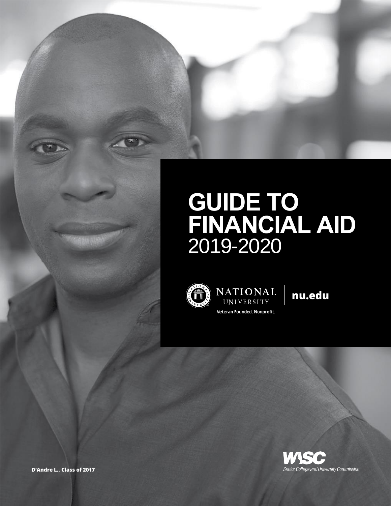# **GUIDE TO FINANCIAL AID**  2019-2020



NATIONAL UNIVERSITY Veteran Founded. Nonprofit.

nu.edu



D'Andre L., Class of 2017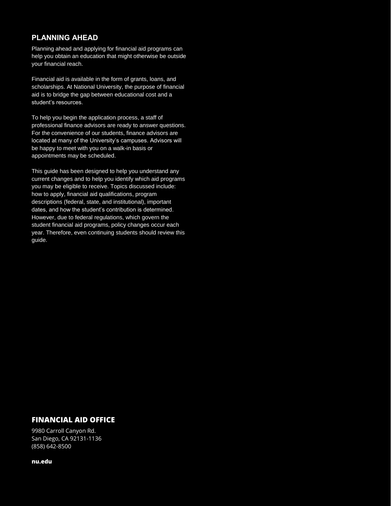## **PLANNING AHEAD**

Planning ahead and applying for financial aid programs can help you obtain an education that might otherwise be outside your financial reach.

Financial aid is available in the form of grants, loans, and scholarships. At National University, the purpose of financial aid is to bridge the gap between educational cost and a student's resources.

To help you begin the application process, a staff of professional finance advisors are ready to answer questions. For the convenience of our students, finance advisors are located at many of the University's campuses. Advisors will be happy to meet with you on a walk-in basis or appointments may be scheduled.

This guide has been designed to help you understand any current changes and to help you identify which aid programs you may be eligible to receive. Topics discussed include: how to apply, financial aid qualifications, program descriptions (federal, state, and institutional), important dates, and how the student's contribution is determined. However, due to federal regulations, which govern the student financial aid programs, policy changes occur each year. Therefore, even continuing students should review this guide.

## FINANCIAL AID OFFICE

9980 Carroll Canyon Rd. San Diego, CA 92131-1136 (858) 642-8500

nu.edu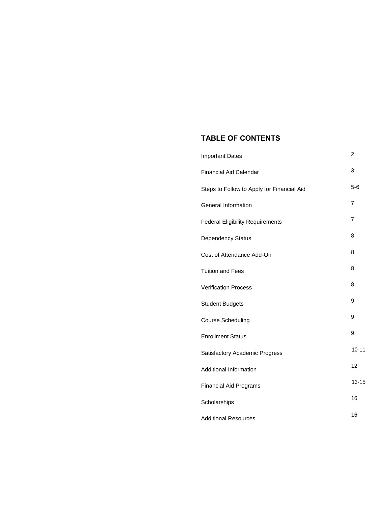## **TABLE OF CONTENTS**

| <b>Important Dates</b>                     | 2         |
|--------------------------------------------|-----------|
| <b>Financial Aid Calendar</b>              | 3         |
| Steps to Follow to Apply for Financial Aid | $5-6$     |
| General Information                        | 7         |
| <b>Federal Eligibility Requirements</b>    | 7         |
| <b>Dependency Status</b>                   | 8         |
| Cost of Attendance Add-On                  | 8         |
| <b>Tuition and Fees</b>                    | 8         |
| <b>Verification Process</b>                | 8         |
| <b>Student Budgets</b>                     | 9         |
| <b>Course Scheduling</b>                   | 9         |
| <b>Enrollment Status</b>                   | 9         |
| Satisfactory Academic Progress             | $10 - 11$ |
| Additional Information                     | 12        |
| <b>Financial Aid Programs</b>              | $13 - 15$ |
| Scholarships                               | 16        |
| <b>Additional Resources</b>                | 16        |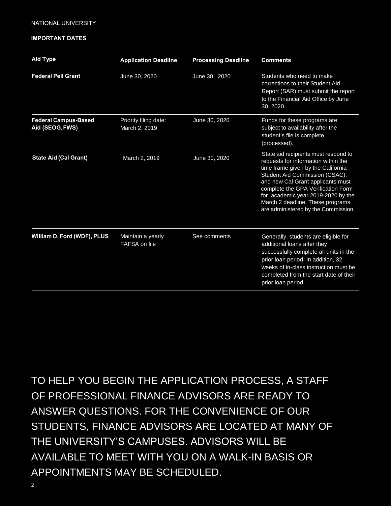#### **IMPORTANT DATES**

| <b>Aid Type</b>                                | <b>Application Deadline</b>            | <b>Processing Deadline</b> | <b>Comments</b>                                                                                                                                                                                                                                                                                                                                 |
|------------------------------------------------|----------------------------------------|----------------------------|-------------------------------------------------------------------------------------------------------------------------------------------------------------------------------------------------------------------------------------------------------------------------------------------------------------------------------------------------|
| <b>Federal Pell Grant</b>                      | June 30, 2020                          | June 30, 2020              | Students who need to make<br>corrections to their Student Aid<br>Report (SAR) must submit the report<br>to the Financial Aid Office by June<br>30, 2020.                                                                                                                                                                                        |
| <b>Federal Campus-Based</b><br>Aid (SEOG, FWS) | Priority filing date:<br>March 2, 2019 | June 30, 2020              | Funds for these programs are<br>subject to availability after the<br>student's file is complete<br>(processed).                                                                                                                                                                                                                                 |
| <b>State Aid (Cal Grant)</b>                   | March 2, 2019                          | June 30, 2020              | State aid recipients must respond to<br>requests for information within the<br>time frame given by the California<br>Student Aid Commission (CSAC),<br>and new Cal Grant applicants must<br>complete the GPA Verification Form<br>for academic year 2019-2020 by the<br>March 2 deadline. These programs<br>are administered by the Commission. |
| William D. Ford (WDF), PLUS                    | Maintain a yearly<br>FAFSA on file     | See comments               | Generally, students are eligible for<br>additional loans after they<br>successfully complete all units in the<br>prior loan period. In addition, 32<br>weeks of in-class instruction must be<br>completed from the start date of their<br>prior loan period.                                                                                    |

TO HELP YOU BEGIN THE APPLICATION PROCESS, A STAFF OF PROFESSIONAL FINANCE ADVISORS ARE READY TO ANSWER QUESTIONS. FOR THE CONVENIENCE OF OUR STUDENTS, FINANCE ADVISORS ARE LOCATED AT MANY OF THE UNIVERSITY'S CAMPUSES. ADVISORS WILL BE AVAILABLE TO MEET WITH YOU ON A WALK-IN BASIS OR APPOINTMENTS MAY BE SCHEDULED.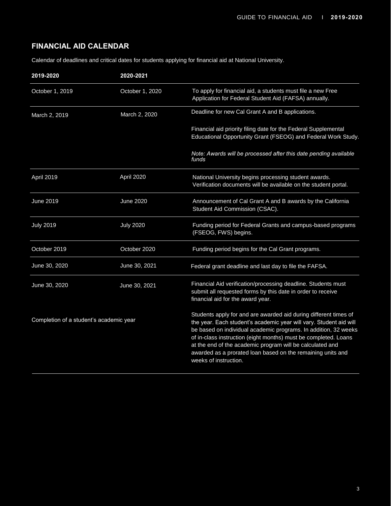## **FINANCIAL AID CALENDAR**

Calendar of deadlines and critical dates for students applying for financial aid at National University.

| 2019-2020                               | 2020-2021        |                                                                                                                                                                                                                                                                                                                                                                                                                                   |
|-----------------------------------------|------------------|-----------------------------------------------------------------------------------------------------------------------------------------------------------------------------------------------------------------------------------------------------------------------------------------------------------------------------------------------------------------------------------------------------------------------------------|
| October 1, 2019                         | October 1, 2020  | To apply for financial aid, a students must file a new Free<br>Application for Federal Student Aid (FAFSA) annually.                                                                                                                                                                                                                                                                                                              |
| March 2, 2019                           | March 2, 2020    | Deadline for new Cal Grant A and B applications.                                                                                                                                                                                                                                                                                                                                                                                  |
|                                         |                  | Financial aid priority filing date for the Federal Supplemental<br>Educational Opportunity Grant (FSEOG) and Federal Work Study.                                                                                                                                                                                                                                                                                                  |
|                                         |                  | Note: Awards will be processed after this date pending available<br>funds                                                                                                                                                                                                                                                                                                                                                         |
| April 2019                              | April 2020       | National University begins processing student awards.<br>Verification documents will be available on the student portal.                                                                                                                                                                                                                                                                                                          |
| June 2019                               | <b>June 2020</b> | Announcement of Cal Grant A and B awards by the California<br>Student Aid Commission (CSAC).                                                                                                                                                                                                                                                                                                                                      |
| <b>July 2019</b>                        | <b>July 2020</b> | Funding period for Federal Grants and campus-based programs<br>(FSEOG, FWS) begins.                                                                                                                                                                                                                                                                                                                                               |
| October 2019                            | October 2020     | Funding period begins for the Cal Grant programs.                                                                                                                                                                                                                                                                                                                                                                                 |
| June 30, 2020                           | June 30, 2021    | Federal grant deadline and last day to file the FAFSA.                                                                                                                                                                                                                                                                                                                                                                            |
| June 30, 2020                           | June 30, 2021    | Financial Aid verification/processing deadline. Students must<br>submit all requested forms by this date in order to receive<br>financial aid for the award year.                                                                                                                                                                                                                                                                 |
| Completion of a student's academic year |                  | Students apply for and are awarded aid during different times of<br>the year. Each student's academic year will vary. Student aid will<br>be based on individual academic programs. In addition, 32 weeks<br>of in-class instruction (eight months) must be completed. Loans<br>at the end of the academic program will be calculated and<br>awarded as a prorated loan based on the remaining units and<br>weeks of instruction. |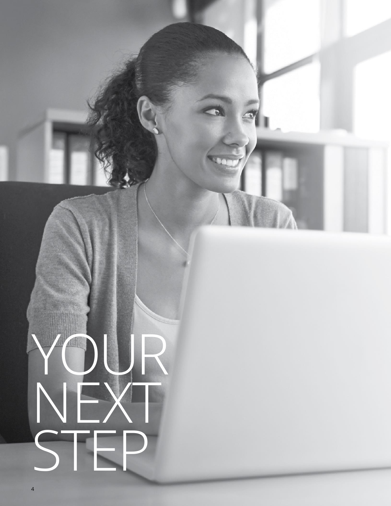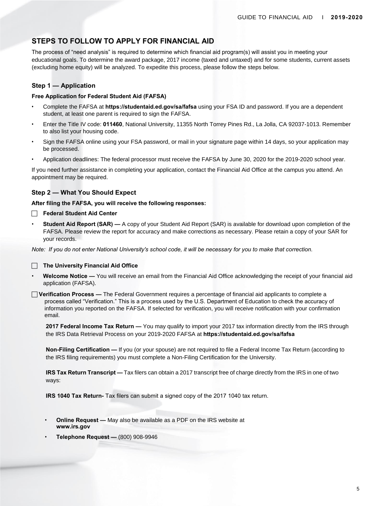## **STEPS TO FOLLOW TO APPLY FOR FINANCIAL AID**

The process of "need analysis" is required to determine which financial aid program(s) will assist you in meeting your educational goals. To determine the award package, 2017 income (taxed and untaxed) and for some students, current assets (excluding home equity) will be analyzed. To expedite this process, please follow the steps below.

#### **Step 1 — Application**

#### **Free Application for Federal Student Aid (FAFSA)**

- Complete the FAFSA at **https://studentaid.ed.gov/sa/fafsa** using your FSA ID and password. If you are a dependent student, at least one parent is required to sign the FAFSA.
- Enter the Title IV code: **011460**, National University, 11355 North Torrey Pines Rd., La Jolla, CA 92037-1013. Remember to also list your housing code.
- Sign the FAFSA online using your FSA password, or mail in your signature page within 14 days, so your application may be processed.
- Application deadlines: The federal processor must receive the FAFSA by June 30, 2020 for the 2019-2020 school year.

If you need further assistance in completing your application, contact the Financial Aid Office at the campus you attend. An appointment may be required.

#### **Step 2 — What You Should Expect**

#### **After filing the FAFSA, you will receive the following responses:**

#### **Federal Student Aid Center**

**Student Aid Report (SAR) —** A copy of your Student Aid Report (SAR) is available for download upon completion of the FAFSA. Please review the report for accuracy and make corrections as necessary. Please retain a copy of your SAR for your records.

*Note: If you do not enter National University's school code, it will be necessary for you to make that correction.* 

**The University Financial Aid Office** 

• **Welcome Notice —** You will receive an email from the Financial Aid Office acknowledging the receipt of your financial aid application (FAFSA).

 **Verification Process —** The Federal Government requires a percentage of financial aid applicants to complete a process called "Verification." This is a process used by the U.S. Department of Education to check the accuracy of information you reported on the FAFSA. If selected for verification, you will receive notification with your confirmation email.

**2017 Federal Income Tax Return —** You may qualify to import your 2017 tax information directly from the IRS through the IRS Data Retrieval Process on your 2019-2020 FAFSA at **https://studentaid.ed.gov/sa/fafsa** 

**Non-Filing Certification —** If you (or your spouse) are not required to file a Federal Income Tax Return (according to the IRS filing requirements) you must complete a Non-Filing Certification for the University.

**IRS Tax Return Transcript —** Tax filers can obtain a 2017 transcript free of charge directly from the IRS in one of two ways:

**IRS [1040 Tax Retu](http://www.irs.gov/)rn-** Tax filers can submit a signed copy of the 2017 1040 tax return.

- **Online Request —** May also be available as a PDF on the IRS website at **www.irs.gov**
- **Telephone Request —** (800) 908-9946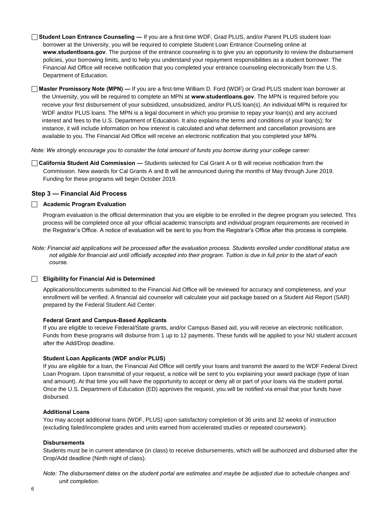**Student Loan Entrance Counseling —** If you are a first-time WDF, Grad PLUS, and/or Parent PLUS student loan borrower at the University, you will be required to complete Student Loan Entrance Counseling online at **[www.studentloans.gov](http://www.studentloans.gov/)**. The purpose of the entrance counseling is to give you an opportunity to review the disbursement policies, your borrowing limits, and to help you understand your repayment responsibilities as a student borrower. The Financial Aid Office will receive notification that you completed your entrance counseling electronically from the U.S. Department of Education.

 **Master Promissory Note (MPN) —** If you are a first-time William D. Ford (WDF) or Grad PLUS student loan borrower at the University, you will be required to complete an MPN at **[www.studentloans.gov](http://www.studentloans.gov/)**. The MPN is required before you receive your first disbursement of your subsidized, unsubsidized, and/or PLUS loan(s). An individual MPN is required for WDF and/or PLUS loans. The MPN is a legal document in which you promise to repay your loan(s) and any accrued interest and fees to the U.S. Department of Education. It also explains the terms and conditions of your loan(s); for instance, it will include information on how interest is calculated and what deferment and cancellation provisions are available to you. The Financial Aid Office will receive an electronic notification that you completed your MPN.

*Note: We strongly encourage you to consider the total amount of funds you borrow during your college career.* 

 **California Student Aid Commission —** Students selected for Cal Grant A or B will receive notification from the Commission. New awards for Cal Grants A and B will be announced during the months of May through June 2019. Funding for these programs will begin October 2019.

#### **Step 3 — Financial Aid Process**

#### **Academic Program Evaluation**

Program evaluation is the official determination that you are eligible to be enrolled in the degree program you selected. This process will be completed once all your official academic transcripts and individual program requirements are received in the Registrar's Office. A notice of evaluation will be sent to you from the Registrar's Office after this process is complete.

*Note: Financial aid applications will be processed after the evaluation process. Students enrolled under conditional status are not eligible for financial aid until officially accepted into their program. Tuition is due in full prior to the start of each course.* 

#### **Eligibility for Financial Aid is Determined**

Applications/documents submitted to the Financial Aid Office will be reviewed for accuracy and completeness, and your enrollment will be verified. A financial aid counselor will calculate your aid package based on a Student Aid Report (SAR) prepared by the Federal Student Aid Center.

#### **Federal Grant and Campus-Based Applicants**

If you are eligible to receive Federal/State grants, and/or Campus-Based aid, you will receive an electronic notification. Funds from these programs will disburse from 1 up to 12 payments. These funds will be applied to your NU student account after the Add/Drop deadline.

#### **Student Loan Applicants (WDF and/or PLUS)**

If you are eligible for a loan, the Financial Aid Office will certify your loans and transmit the award to the WDF Federal Direct Loan Program. Upon transmittal of your request, a notice will be sent to you explaining your award package (type of loan and amount). At that time you will have the opportunity to accept or deny all or part of your loans via the student portal. Once the U.S. Department of Education (ED) approves the request, you will be notified via email that your funds have disbursed.

#### **Additional Loans**

You may accept additional loans (WDF, PLUS) upon satisfactory completion of 36 units and 32 weeks of instruction (excluding failed/incomplete grades and units earned from accelerated studies or repeated coursework).

#### **Disbursements**

Students must be in current attendance (in class) to receive disbursements, which will be authorized and disbursed after the Drop/Add deadline (Ninth night of class).

*Note: The disbursement dates on the student portal are estimates and maybe be adjusted due to schedule changes and unit completion.*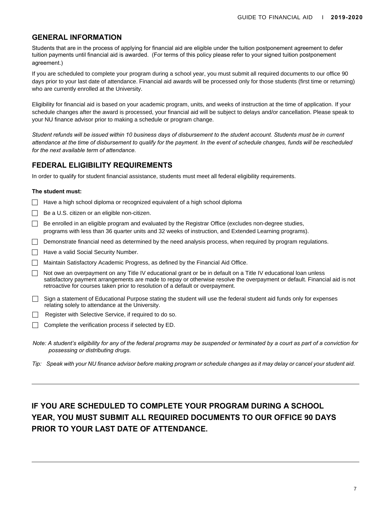## **GENERAL INFORMATION**

Students that are in the process of applying for financial aid are eligible under the tuition postponement agreement to defer tuition payments until financial aid is awarded. (For terms of this policy please refer to your signed tuition postponement agreement.)

If you are scheduled to complete your program during a school year, you must submit all required documents to our office 90 days prior to your last date of attendance. Financial aid awards will be processed only for those students (first time or returning) who are currently enrolled at the University.

Eligibility for financial aid is based on your academic program, units, and weeks of instruction at the time of application. If your schedule changes after the award is processed, your financial aid will be subject to delays and/or cancellation. Please speak to your NU finance advisor prior to making a schedule or program change.

*Student refunds will be issued within 10 business days of disbursement to the student account. Students must be in current attendance at the time of disbursement to qualify for the payment. In the event of schedule changes, funds will be rescheduled for the next available term of attendance.* 

## **FEDERAL ELIGIBILITY REQUIREMENTS**

In order to qualify for student financial assistance, students must meet all federal eligibility requirements.

#### **The student must:**

- $\Box$  Have a high school diploma or recognized equivalent of a high school diploma
- Be a U.S. citizen or an eligible non-citizen.
- Be enrolled in an eligible program and evaluated by the Registrar Office (excludes non-degree studies, programs with less than 36 quarter units and 32 weeks of instruction, and Extended Learning programs).
- Demonstrate financial need as determined by the need analysis process, when required by program regulations.
- Have a valid Social Security Number.
- Maintain Satisfactory Academic Progress, as defined by the Financial Aid Office.
- $\Box$  Not owe an overpayment on any Title IV educational grant or be in default on a Title IV educational loan unless satisfactory payment arrangements are made to repay or otherwise resolve the overpayment or default. Financial aid is not retroactive for courses taken prior to resolution of a default or overpayment.
- $\Box$  Sign a statement of Educational Purpose stating the student will use the federal student aid funds only for expenses relating solely to attendance at the University.
- $\Box$  Register with Selective Service, if required to do so.
- Complete the verification process if selected by ED.
- *Note: A student's eligibility for any of the federal programs may be suspended or terminated by a court as part of a conviction for possessing or distributing drugs.*
- *Tip: Speak with your NU finance advisor before making program or schedule changes as it may delay or cancel your student aid.*

## **IF YOU ARE SCHEDULED TO COMPLETE YOUR PROGRAM DURING A SCHOOL YEAR, YOU MUST SUBMIT ALL REQUIRED DOCUMENTS TO OUR OFFICE 90 DAYS PRIOR TO YOUR LAST DATE OF ATTENDANCE.**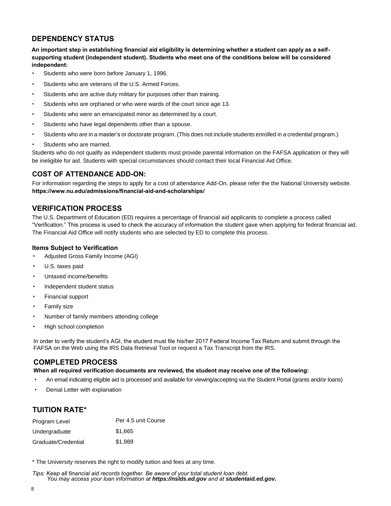## **DEPENDENCY STATUS**

**An important step in establishing financial aid eligibility is determining whether a student can apply as a selfsupporting student (independent student). Students who meet one of the conditions below will be considered independent:** 

- Students who were born before January 1, 1996.
- Students who are veterans of the U.S. Armed Forces.
- Students who are active duty military for purposes other than training.
- Students who are orphaned or who were wards of the court since age 13.
- Students who were an emancipated minor as determined by a court.
- Students who have legal dependents other than a spouse.
- Students who are in a master's or doctorate program. (This does not include students enrolled in a credential program.)
- Students who are married.

Students who do not qualify as independent students must provide parental information on the FAFSA application or they will be ineligible for aid. Students with special circumstances should contact their local Financial Aid Office.

## **COST OF ATTENDANCE ADD-ON:**

For information regarding the steps to apply for a cost of attendance Add-On, please refer the the National University website. **[https://www.nu.edu/admissions/financial-aid-and-scholarships/](http://www.nu.edu/admissions/financial-aid-and-scholarships/)**

## **VERIFICATION PROCESS**

The U.S. Department of Education (ED) requires a percentage of financial aid applicants to complete a process called "Verification." This process is used to check the accuracy of information the student gave when applying for federal financial aid. The Financial Aid Office will notify students who are selected by ED to complete this process.

#### **Items Subject to Verification**

- Adjusted Gross Family Income (AGI)
- U.S. taxes paid
- Untaxed income/benefits
- Independent student status
- Financial support
- Family size
- Number of family members attending college
- High school completion

In order to verify the student's AGI, the student must file his/her 2017 Federal Income Tax Return and submit through the FAFSA on the Web using the IRS Data Retrieval Tool or request a Tax Transcript from the IRS.

## **COMPLETED PROCESS**

**When all required verification documents are reviewed, the student may receive one of the following:** 

- An email indicating eligible aid is processed and available for viewing/accepting via the Student Portal (grants and/or loans)
- Denial Letter with explanation

## **TUITION RATE\***

| Program Level       | Per 4.5 unit Course |
|---------------------|---------------------|
| Undergraduate       | \$1.665             |
| Graduate/Credential | \$1,989             |

\* The University reserves the right to modify tuition and fees at any time.

*Tips: Keep all financial aid records together. Be aware of your total student loan debt. You may access your loan information at https://nslds.ed.gov and at studentaid.ed.gov.*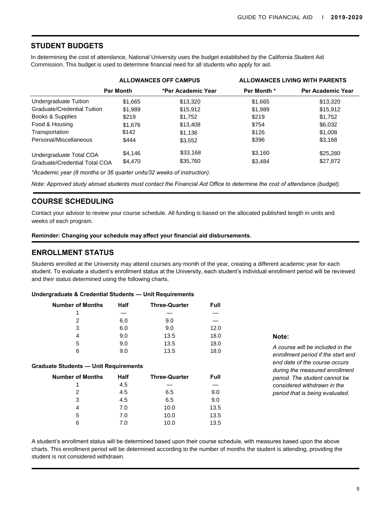## **STUDENT BUDGETS**

In determining the cost of attendance, National University uses the budget established by the California Student Aid Commission. This budget is used to determine financial need for all students who apply for aid.

|                                      | <b>ALLOWANCES OFF CAMPUS</b> |                    | <b>ALLOWANCES LIVING WITH PARENTS</b> |                   |
|--------------------------------------|------------------------------|--------------------|---------------------------------------|-------------------|
|                                      | <b>Per Month</b>             | *Per Academic Year | Per Month *                           | Per Academic Year |
| Undergraduate Tuition                | \$1,665                      | \$13,320           | \$1,665                               | \$13,320          |
| Graduate/Credential Tuition          | \$1,989                      | \$15,912           | \$1,989                               | \$15,912          |
| Books & Supplies                     | \$219                        | \$1,752            | \$219                                 | \$1,752           |
| Food & Housing                       | \$1,676                      | \$13,408           | \$754                                 | \$6,032           |
| Transportation                       | \$142                        | \$1.136            | \$126                                 | \$1,008           |
| Personal/Miscellaneous               | \$444                        | \$3,552            | \$396                                 | \$3,168           |
| Undergraduate Total COA              | \$4,146                      | \$33,168           | \$3,160                               | \$25,280          |
| <b>Graduate/Credential Total COA</b> | \$4,470                      | \$35,760           | \$3,484                               | \$27,872          |

*\*Academic year (8 months or 36 quarter units/32 weeks of instruction).*

*Note: Approved study abroad students must contact the Financial Aid Office to determine the cost of attendance (budget).* 

## **COURSE SCHEDULING**

Contact your advisor to review your course schedule. All funding is based on the allocated published length in units and weeks of each program.

**Reminder: Changing your schedule may affect your financial aid disbursements.** 

## **ENROLLMENT STATUS**

Students enrolled at the University may attend courses any month of the year, creating a different academic year for each student. To evaluate a student's enrollment status at the University, each student's individual enrollment period will be reviewed and their status determined using the following charts.

|  |  |  | Undergraduate & Credential Students — Unit Requirements |
|--|--|--|---------------------------------------------------------|
|--|--|--|---------------------------------------------------------|

| Number of Months | <b>Half</b> | <b>Three-Quarter</b> | Full |
|------------------|-------------|----------------------|------|
|                  |             |                      |      |
| 2                | 6.0         | 9.0                  |      |
| 3                | 6.0         | 9.0                  | 12.0 |
| 4                | 9.0         | 13.5                 | 18.0 |
| 5                | 9.0         | 13.5                 | 18.0 |
| 6                | 9.0         | 13.5                 | 18.0 |

#### **Graduate Students — Unit Requirements**

| <b>Number of Months</b> | Half | <b>Three-Quarter</b> | Full |
|-------------------------|------|----------------------|------|
|                         | 4.5  |                      |      |
| 2                       | 4.5  | 6.5                  | 9.0  |
| 3                       | 4.5  | 6.5                  | 9.0  |
| 4                       | 7.0  | 10.0                 | 13.5 |
| 5                       | 7.0  | 10.0                 | 13.5 |
| 6                       | 7.0  | 10.0                 | 13.5 |

#### **Note:**

*A course will be included in the enrollment period if the start and end date of the course occurs during the measured enrollment period. The student cannot be considered withdrawn in the* 2 4.5 6.5 9.0 *period that is being evaluated.*

A student's enrollment status will be determined based upon their course schedule, with measures based upon the above charts. This enrollment period will be determined according to the number of months the student is attending, providing the student is not considered withdrawn.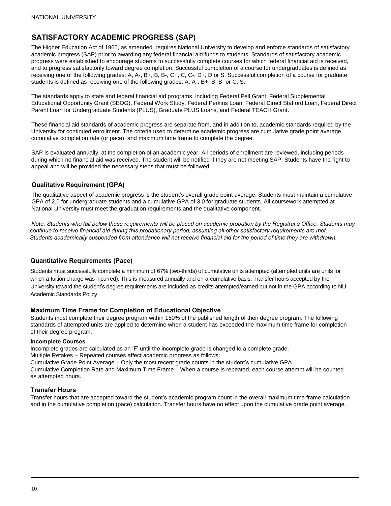## **SATISFACTORY ACADEMIC PROGRESS (SAP)**

The Higher Education Act of 1965, as amended, requires National University to develop and enforce standards of satisfactory academic progress (SAP) prior to awarding any federal financial aid funds to students. Standards of satisfactory academic progress were established to encourage students to successfully complete courses for which federal financial aid is received, and to progress satisfactorily toward degree completion. Successful completion of a course for undergraduates is defined as receiving one of the following grades: A, A-, B+, B, B-, C+, C, C-, D+, D or S. Successful completion of a course for graduate students is defined as receiving one of the following grades: A, A-, B+, B, B- or C, S.

The standards apply to state and federal financial aid programs, including Federal Pell Grant, Federal Supplemental Educational Opportunity Grant (SEOG), Federal Work Study, Federal Perkins Loan, Federal Direct Stafford Loan, Federal Direct Parent Loan for Undergraduate Students (PLUS), Graduate PLUS Loans, and Federal TEACH Grant.

These financial aid standards of academic progress are separate from, and in addition to, academic standards required by the University for continued enrollment. The criteria used to determine academic progress are cumulative grade point average, cumulative completion rate (or pace), and maximum time frame to complete the degree.

SAP is evaluated annually, at the completion of an academic year. All periods of enrollment are reviewed, including periods during which no financial aid was received. The student will be notified if they are not meeting SAP. Students have the right to appeal and will be provided the necessary steps that must be followed.

#### **Qualitative Requirement (GPA)**

The qualitative aspect of academic progress is the student's overall grade point average. Students must maintain a cumulative GPA of 2.0 for undergraduate students and a cumulative GPA of 3.0 for graduate students. All coursework attempted at National University must meet the graduation requirements and the qualitative component.

*Note: Students who fall below these requirements will be placed on academic probation by the Registrar's Office. Students may continue to receive financial aid during this probationary period, assuming all other satisfactory requirements are met. Students academically suspended from attendance will not receive financial aid for the period of time they are withdrawn.* 

#### **Quantitative Requirements (Pace)**

Students must successfully complete a minimum of 67% (two-thirds) of cumulative units attempted (attempted units are units for which a tuition charge was incurred). This is measured annually and on a cumulative basis. Transfer hours accepted by the University toward the student's degree requirements are included as credits attempted/earned but not in the GPA according to NU Academic Standards Policy.

#### **Maximum Time Frame for Completion of Educational Objective**

Students must complete their degree program within 150% of the published length of their degree program. The following standards of attempted units are applied to determine when a student has exceeded the maximum time frame for completion of their degree program.

#### **Incomplete Courses**

Incomplete grades are calculated as an ʻF' until the incomplete grade is changed to a complete grade.

Multiple Retakes – Repeated courses affect academic progress as follows:

Cumulative Grade Point Average – Only the most recent grade counts in the student's cumulative GPA. Cumulative Completion Rate and Maximum Time Frame – When a course is repeated, each course attempt will be counted as attempted hours.

#### **Transfer Hours**

Transfer hours that are accepted toward the student's academic program count in the overall maximum time frame calculation and in the cumulative completion (pace) calculation. Transfer hours have no effect upon the cumulative grade point average.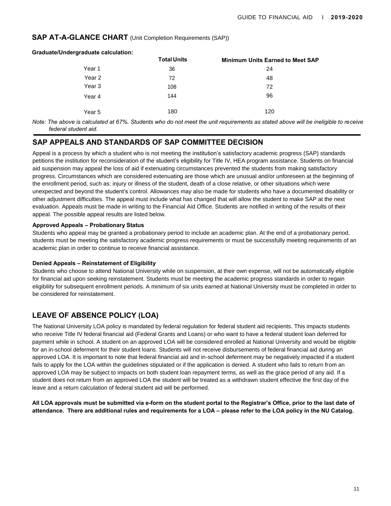#### **SAP AT-A-GLANCE CHART** (Unit Completion Requirements (SAP))

| <b>Graduate/Undergraduate calculation:</b> |                    |                                         |
|--------------------------------------------|--------------------|-----------------------------------------|
|                                            | <b>Total Units</b> | <b>Minimum Units Earned to Meet SAP</b> |
| Year 1                                     | 36                 | 24                                      |
| Year 2                                     | 72                 | 48                                      |
| Year 3                                     | 108                | 72                                      |
| Year 4                                     | 144                | 96                                      |
| Year 5                                     | 180                | 120                                     |

*Note: The above is calculated at 67%. Students who do not meet the unit requirements as stated above will be ineligible to receive federal student aid.* 

## **SAP APPEALS AND STANDARDS OF SAP COMMITTEE DECISION**

Appeal is a process by which a student who is not meeting the institution's satisfactory academic progress (SAP) standards petitions the institution for reconsideration of the student's eligibility for Title IV, HEA program assistance. Students on financial aid suspension may appeal the loss of aid if extenuating circumstances prevented the students from making satisfactory progress. Circumstances which are considered extenuating are those which are unusual and/or unforeseen at the beginning of the enrollment period, such as: injury or illness of the student, death of a close relative, or other situations which were unexpected and beyond the student's control. Allowances may also be made for students who have a documented disability or other adjustment difficulties. The appeal must include what has changed that will allow the student to make SAP at the next evaluation. Appeals must be made in writing to the Financial Aid Office. Students are notified in writing of the results of their appeal. The possible appeal results are listed below.

#### **Approved Appeals – Probationary Status**

Students who appeal may be granted a probationary period to include an academic plan. At the end of a probationary period, students must be meeting the satisfactory academic progress requirements or must be successfully meeting requirements of an academic plan in order to continue to receive financial assistance.

#### **Denied Appeals – Reinstatement of Eligibility**

Students who choose to attend National University while on suspension, at their own expense, will not be automatically eligible for financial aid upon seeking reinstatement. Students must be meeting the academic progress standards in order to regain eligibility for subsequent enrollment periods. A minimum of six units earned at National University must be completed in order to be considered for reinstatement.

## **LEAVE OF ABSENCE POLICY (LOA)**

The National University LOA policy is mandated by federal regulation for federal student aid recipients. This impacts students who receive Title IV federal financial aid (Federal Grants and Loans) or who want to have a federal student loan deferred for payment while in school. A student on an approved LOA will be considered enrolled at National University and would be eligible for an in-school deferment for their student loans. Students will not receive disbursements of federal financial aid during an approved LOA. It is important to note that federal financial aid and in-school deferment may be negatively impacted if a student fails to apply for the LOA within the guidelines stipulated or if the application is denied. A student who fails to return from an approved LOA may be subject to impacts on both student loan repayment terms, as well as the grace period of any aid. If a student does not return from an approved LOA the student will be treated as a withdrawn student effective the first day of the leave and a return calculation of federal student aid will be performed.

**All LOA approvals must be submitted via e-form on the student portal to the Registrar's Office, prior to the last date of attendance. There are additional rules and requirements for a LOA – please refer to the LOA policy in the NU Catalog.**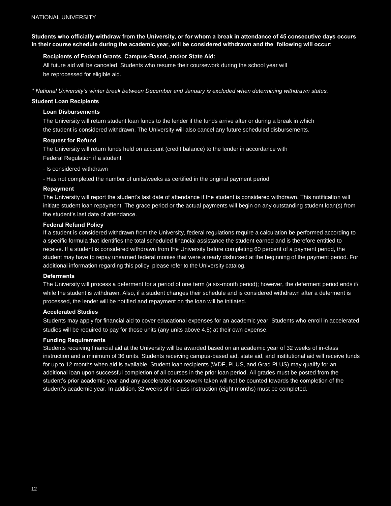**Students who officially withdraw from the University, or for whom a break in attendance of 45 consecutive days occurs in their course schedule during the academic year, will be considered withdrawn and the following will occur:**

#### **Recipients of Federal Grants, Campus-Based, and/or State Aid:**

All future aid will be canceled. Students who resume their coursework during the school year will be reprocessed for eligible aid.

*\* National University's winter break between December and January is excluded when determining withdrawn status.*

#### **Student Loan Recipients**

#### **Loan Disbursements**

The University will return student loan funds to the lender if the funds arrive after or during a break in which the student is considered withdrawn. The University will also cancel any future scheduled disbursements.

#### **Request for Refund**

The University will return funds held on account (credit balance) to the lender in accordance with Federal Regulation if a student:

- Is considered withdrawn

- Has not completed the number of units/weeks as certified in the original payment period

#### **Repayment**

The University will report the student's last date of attendance if the student is considered withdrawn. This notification will initiate student loan repayment. The grace period or the actual payments will begin on any outstanding student loan(s) from the student's last date of attendance.

#### **Federal Refund Policy**

If a student is considered withdrawn from the University, federal regulations require a calculation be performed according to a specific formula that identifies the total scheduled financial assistance the student earned and is therefore entitled to receive. If a student is considered withdrawn from the University before completing 60 percent of a payment period, the student may have to repay unearned federal monies that were already disbursed at the beginning of the payment period. For additional information regarding this policy, please refer to the University catalog.

#### **Deferments**

The University will process a deferment for a period of one term (a six-month period); however, the deferment period ends if/ while the student is withdrawn. Also, if a student changes their schedule and is considered withdrawn after a deferment is processed, the lender will be notified and repayment on the loan will be initiated.

#### **Accelerated Studies**

Students may apply for financial aid to cover educational expenses for an academic year. Students who enroll in accelerated studies will be required to pay for those units (any units above 4.5) at their own expense.

#### **Funding Requirements**

Students receiving financial aid at the University will be awarded based on an academic year of 32 weeks of in-class instruction and a minimum of 36 units. Students receiving campus-based aid, state aid, and institutional aid will receive funds for up to 12 months when aid is available. Student loan recipients (WDF, PLUS, and Grad PLUS) may qualify for an additional loan upon successful completion of all courses in the prior loan period. All grades must be posted from the student's prior academic year and any accelerated coursework taken will not be counted towards the completion of the student's academic year. In addition, 32 weeks of in-class instruction (eight months) must be completed.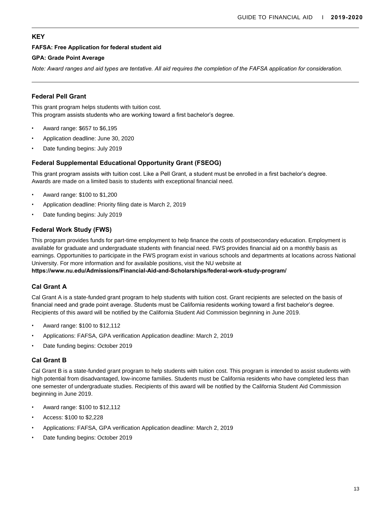## **KEY**

#### **FAFSA: Free Application for federal student aid**

#### **GPA: Grade Point Average**

*Note: Award ranges and aid types are tentative. All aid requires the completion of the FAFSA application for consideration.* 

## **Federal Pell Grant**

This grant program helps students with tuition cost. This program assists students who are working toward a first bachelor's degree.

- Award range: \$657 to \$6,195
- Application deadline: June 30, 2020
- Date funding begins: July 2019

## **Federal Supplemental Educational Opportunity Grant (FSEOG)**

This grant program assists with tuition cost. Like a Pell Grant, a student must be enrolled in a first bachelor's degree. Awards are made on a limited basis to students with exceptional financial need.

- Award range: \$100 to \$1,200
- Application deadline: Priority filing date is March 2, 2019
- Date funding begins: July 2019

## **Federal Work Study (FWS)**

This program provides funds for part-time employment to help finance the costs of postsecondary education. Employment is available for graduate and undergraduate students with financial need. FWS provides financial aid on a monthly basis as earnings. Opportunities to participate in the FWS program exist in various schools and departments at locations across National University. For more information and for available positions, visit the NU website at

**[https://www.nu.edu/Admissions/Financial-Aid-and-Scholarships/federal-work-study-program/](http://www.nu.edu/Admissions/Financial-Aid-and-Scholarships/federal-work-study-program/)**

## **Cal Grant A**

Cal Grant A is a state-funded grant program to help students with tuition cost. Grant recipients are selected on the basis of financial need and grade point average. Students must be California residents working toward a first bachelor's degree. Recipients of this award will be notified by the California Student Aid Commission beginning in June 2019.

- Award range: \$100 to \$12,112
- Applications: FAFSA, GPA verification Application deadline: March 2, 2019
- Date funding begins: October 2019

## **Cal Grant B**

Cal Grant B is a state-funded grant program to help students with tuition cost. This program is intended to assist students with high potential from disadvantaged, low-income families. Students must be California residents who have completed less than one semester of undergraduate studies. Recipients of this award will be notified by the California Student Aid Commission beginning in June 2019.

- Award range: \$100 to \$12,112
- Access: \$100 to \$2,228
- Applications: FAFSA, GPA verification Application deadline: March 2, 2019
- Date funding begins: October 2019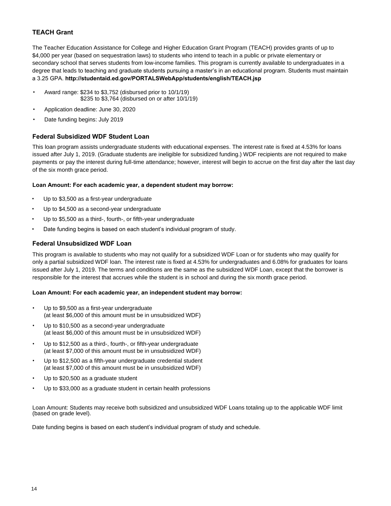## **TEACH Grant**

The Teacher Education Assistance for College and Higher Education Grant Program (TEACH) provides grants of up to \$4,000 per year (based on sequestration laws) to students who intend to teach in a public or private elementary or secondary school that serves students from low-income families. This program is currently available to undergraduates in a degree that leads to teaching and graduate students pursuing a master's in an educational program. Students must maintain a 3.25 GPA. **[http://studentaid.ed.gov/PORTALSWebApp/students/english](http://studentaid.ed.gov/PORTALSWebApp/students/english/TEACH.jsp)/TEACH.jsp** 

- Award range: \$234 to \$3,752 (disbursed prior to 10/1/19) \$235 to \$3,764 (disbursed on or after 10/1/19)
- Application deadline: June 30, 2020
- Date funding begins: July 2019

#### **Federal Subsidized WDF Student Loan**

This loan program assists undergraduate students with educational expenses. The interest rate is fixed at 4.53% for loans issued after July 1, 2019. (Graduate students are ineligible for subsidized funding.) WDF recipients are not required to make payments or pay the interest during full-time attendance; however, interest will begin to accrue on the first day after the last day of the six month grace period.

#### **Loan Amount: For each academic year, a dependent student may borrow:**

- Up to \$3,500 as a first-year undergraduate
- Up to \$4,500 as a second-year undergraduate
- Up to \$5,500 as a third-, fourth-, or fifth-year undergraduate
- Date funding begins is based on each student's individual program of study.

#### **Federal Unsubsidized WDF Loan**

This program is available to students who may not qualify for a subsidized WDF Loan or for students who may qualify for only a partial subsidized WDF loan. The interest rate is fixed at 4.53% for undergraduates and 6.08% for graduates for loans issued after July 1, 2019. The terms and conditions are the same as the subsidized WDF Loan, except that the borrower is responsible for the interest that accrues while the student is in school and during the six month grace period.

#### **Loan Amount: For each academic year, an independent student may borrow:**

- Up to \$9,500 as a first-year undergraduate (at least \$6,000 of this amount must be in unsubsidized WDF)
- Up to \$10,500 as a second-year undergraduate (at least \$6,000 of this amount must be in unsubsidized WDF)
- Up to \$12,500 as a third-, fourth-, or fifth-year undergraduate (at least \$7,000 of this amount must be in unsubsidized WDF)
- Up to \$12,500 as a fifth-year undergraduate credential student (at least \$7,000 of this amount must be in unsubsidized WDF)
- Up to \$20,500 as a graduate student
- Up to \$33,000 as a graduate student in certain health professions

Loan Amount: Students may receive both subsidized and unsubsidized WDF Loans totaling up to the applicable WDF limit (based on grade level).

Date funding begins is based on each student's individual program of study and schedule.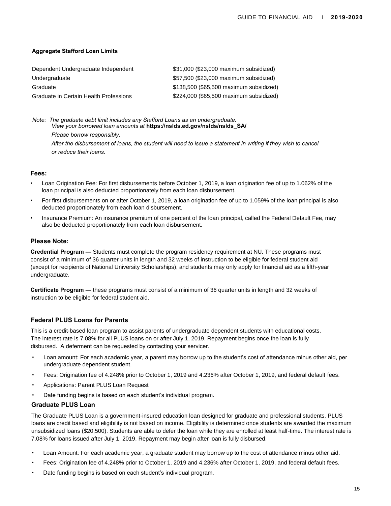#### **Aggregate Stafford Loan Limits**

| Dependent Undergraduate Independent    | \$31,000 (\$23,000 maximum subsidized)  |
|----------------------------------------|-----------------------------------------|
| Undergraduate                          | \$57,500 (\$23,000 maximum subsidized)  |
| Graduate                               | \$138,500 (\$65,500 maximum subsidized) |
| Graduate in Certain Health Professions | \$224,000 (\$65,500 maximum subsidized) |

*Note: The graduate debt limit includes any Stafford Loans as an undergraduate. View your borrowed loan amounts at* **https://nslds.ed.gov/nslds/nslds\_SA/** 

*Please borrow responsibly. After the disbursement of loans, the student will need to issue a statement in writing if they wish to cancel or reduce their loans.* 

#### **Fees:**

- Loan Origination Fee: For first disbursements before October 1, 2019, a loan origination fee of up to 1.062% of the loan principal is also deducted proportionately from each loan disbursement.
- For first disbursements on or after October 1, 2019, a loan origination fee of up to 1.059% of the loan principal is also deducted proportionately from each loan disbursement.
- Insurance Premium: An insurance premium of one percent of the loan principal, called the Federal Default Fee, may also be deducted proportionately from each loan disbursement.

#### **Please Note:**

**Credential Program —** Students must complete the program residency requirement at NU. These programs must consist of a minimum of 36 quarter units in length and 32 weeks of instruction to be eligible for federal student aid (except for recipients of National University Scholarships), and students may only apply for financial aid as a fifth-year undergraduate.

**Certificate Program —** these programs must consist of a minimum of 36 quarter units in length and 32 weeks of instruction to be eligible for federal student aid.

#### **Federal PLUS Loans for Parents**

This is a credit-based loan program to assist parents of undergraduate dependent students with educational costs. The interest rate is 7.08% for all PLUS loans on or after July 1, 2019. Repayment begins once the loan is fully disbursed. A deferment can be requested by contacting your servicer.

- Loan amount: For each academic year, a parent may borrow up to the student's cost of attendance minus other aid, per undergraduate dependent student.
- Fees: Origination fee of 4.248% prior to October 1, 2019 and 4.236% after October 1, 2019, and federal default fees.
- Applications: Parent PLUS Loan Request
- Date funding begins is based on each student's individual program.

#### **Graduate PLUS Loan**

The Graduate PLUS Loan is a government-insured education loan designed for graduate and professional students. PLUS loans are credit based and eligibility is not based on income. Eligibility is determined once students are awarded the maximum unsubsidized loans (\$20,500). Students are able to defer the loan while they are enrolled at least half-time. The interest rate is 7.08% for loans issued after July 1, 2019. Repayment may begin after loan is fully disbursed.

- Loan Amount: For each academic year, a graduate student may borrow up to the cost of attendance minus other aid.
- Fees: Origination fee of 4.248% prior to October 1, 2019 and 4.236% after October 1, 2019, and federal default fees.
- Date funding begins is based on each student's individual program.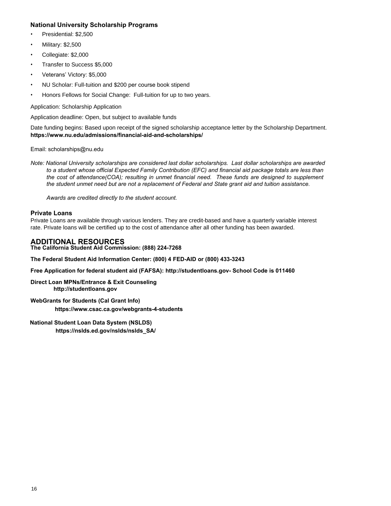## **National University Scholarship Programs**

- Presidential: \$2,500
- Military: \$2,500
- Collegiate: \$2,000
- Transfer to Success \$5,000
- Veterans' Victory: \$5,000
- NU Scholar: Full-tuition and \$200 per course book stipend
- Honors Fellows for Social Change: Full-tuition for up to two years.

Application: Scholarship Application

Application deadline: Open, but subject to available funds

Date funding begins: Based upon receipt of the signed scholarship acceptance letter by the Scholarship Department. **[https://www.nu.edu/admissions/financial-aid-and-scholarships/](http://www.nu.edu/admissions/financial-aid-and-scholarships/)** 

#### Email: scholarships@nu.edu

*Note: National University scholarships are considered last dollar scholarships. Last dollar scholarships are awarded to a student whose official Expected Family Contribution (EFC) and financial aid package totals are less than the cost of attendance(COA); resulting in unmet financial need. These funds are designed to supplement the student unmet need but are not a replacement of Federal and State grant aid and tuition assistance.* 

*Awards are credited directly to the student account.* 

#### **Private Loans**

Private Loans are available through various lenders. They are credit-based and have a quarterly variable interest rate. Private loans will be certified up to the cost of a[ttendance after all other fun](http://studentloans.gov-/)ding has been awarded.

## **ADDITIONAL RESOURCES**

**The Cal[ifornia Student Aid Commission: \(888\) 224-7268](http://www.csac.ca.gov/webgrants-4-students)** 

**The Federal Student Aid Information Center: (800) 4 FED-AID or (800) 433-3243** 

**Free Application for federal student aid (FAFSA): http://studentloans.gov- School Code is 011460** 

**Direct L[oan MPNs/Entrance & Ex](http://studentloans.gov/)it Counseling http://studentloans.gov**

**WebGrants for Students (Cal Grant Info) https://www.csac.ca.gov/webgrants-4-students** 

#### **National Student Loan Data System (NSLDS)**

**https://nslds.ed.gov/nslds/nslds\_SA/**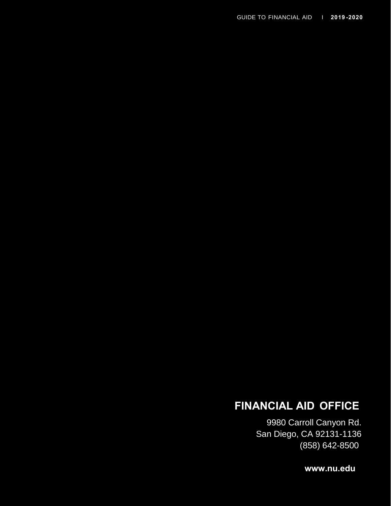# **FINANCIAL AID OFFICE**

9980 Carroll Canyon Rd. San Diego, CA 92131-1136 (858) 642-8500

**[www.nu.edu](http://www.nu.edu/)**